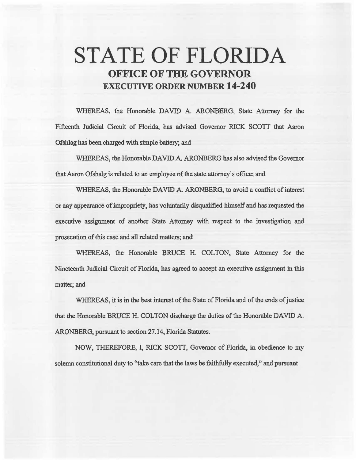# **STATE OF FLORIDA OFFICE OF THE GOVERNOR EXECUTIVE ORDER NUMBER 14-240**

WHEREAS, the Honorable DAVID A. ARONBERG, State Attorney for the Fifteenth Judicial Circuit of Florida, has advised Governor RICK SCOTI that Aaron Ofshlag has been charged with simple battery; and

WHEREAS, the Honorable DAVID A. ARONBERG has also advised the Governor that Aaron Ofshalg is related to an employee of the state attorney's office; and

WHEREAS, the Honorable DAVID A. ARONBERG, to avoid a conflict of interest or any appearance of impropriety, has voluntarily disqualified himself and has requested the executive assignment of another State Attorney with respect to the investigation and prosecution of this case and all related matters; and

WHEREAS, the Honorable BRUCE H. COLTON, State Attorney for the Nineteenth Judicial Circuit of Florida, has agreed to accept an executive assignment in this matter; and

WHEREAS, it is in the best interest of the State of Florida and of the ends of justice that the Honorable BRUCE H. COLTON discharge the duties of the Honorable DAVID A. ARONBERG, pursuant to section 27 .14, Florida Statutes.

NOW, THEREFORE, I, RICK SCOTT, Governor of Florida, in obedience to my solemn constitutional duty to "take care that the laws be faithfully executed," and pursuant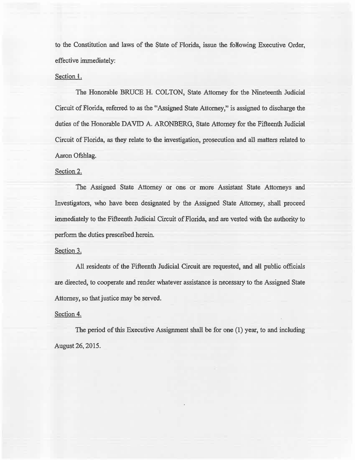to the Constitution and laws of the State of Florida, issue the foMowing Executive Order, effective immediately:

## Section l.

The Honorable BRUCE H. COLTON, State Attorney for the Nineteenth. Judicial Circuit of Florida, referred to as the "Assigned State Attorney," is assigned to discharge the duties of the Honorable DAVID A. ARONBERG, State Attorney for the Fifteenth Judicial Circuit of Florida, as they relate to the investigation, prosecution and a11 matters related to Aaron Ofshlag.

## Section 2.

The Assigned State Attorney or one or more Assistant State Attorneys and Investigators, who have been designated by the Assigned State Attorney, shall proceed immediately to the Fifteenth Judicial Circuit of Florida, and are vested with the authority to perform the duties prescribed herein.

#### Section 3.

All residents of the Fifteenth Judicial Circuit are requested, and all public officials are directed, to cooperate and render whatever assistance is necessary to the Assigned State Attorney, so that justice may be served.

#### Section 4.

The period of this Executive Assignment shall be for one (1) year, to and including August 26, 2015.